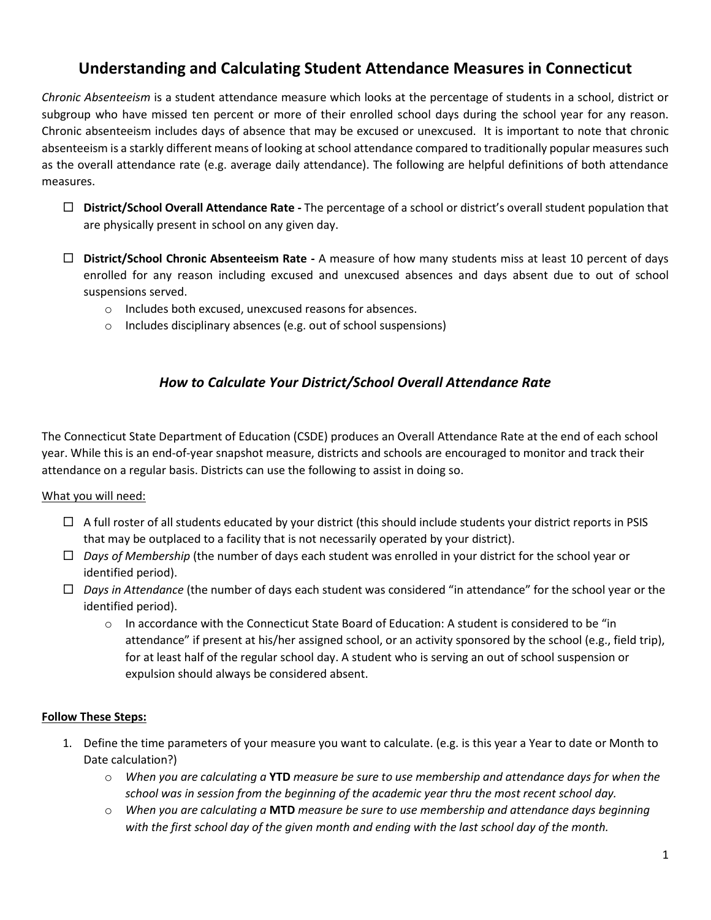# **Understanding and Calculating Student Attendance Measures in Connecticut**

*Chronic Absenteeism* is a student attendance measure which looks at the percentage of students in a school, district or subgroup who have missed ten percent or more of their enrolled school days during the school year for any reason. Chronic absenteeism includes days of absence that may be excused or unexcused. It is important to note that chronic absenteeism is a starkly different means of looking at school attendance compared to traditionally popular measures such as the overall attendance rate (e.g. average daily attendance). The following are helpful definitions of both attendance measures.

- **District/School Overall Attendance Rate -** The percentage of a school or district's overall student population that are physically present in school on any given day.
- **District/School Chronic Absenteeism Rate -** A measure of how many students miss at least 10 percent of days enrolled for any reason including excused and unexcused absences and days absent due to out of school suspensions served.
	- o Includes both excused, unexcused reasons for absences.
	- o Includes disciplinary absences (e.g. out of school suspensions)

## *How to Calculate Your District/School Overall Attendance Rate*

The Connecticut State Department of Education (CSDE) produces an Overall Attendance Rate at the end of each school year. While this is an end-of-year snapshot measure, districts and schools are encouraged to monitor and track their attendance on a regular basis. Districts can use the following to assist in doing so.

## What you will need:

- $\Box$  A full roster of all students educated by your district (this should include students your district reports in PSIS that may be outplaced to a facility that is not necessarily operated by your district).
- *Days of Membership* (the number of days each student was enrolled in your district for the school year or identified period).
- *Days in Attendance* (the number of days each student was considered "in attendance" for the school year or the identified period).
	- o In accordance with the Connecticut State Board of Education: A student is considered to be "in attendance" if present at his/her assigned school, or an activity sponsored by the school (e.g., field trip), for at least half of the regular school day. A student who is serving an out of school suspension or expulsion should always be considered absent.

## **Follow These Steps:**

- 1. Define the time parameters of your measure you want to calculate. (e.g. is this year a Year to date or Month to Date calculation?)
	- o *When you are calculating a* **YTD** *measure be sure to use membership and attendance days for when the school was in session from the beginning of the academic year thru the most recent school day.*
	- o *When you are calculating a* **MTD** *measure be sure to use membership and attendance days beginning with the first school day of the given month and ending with the last school day of the month.*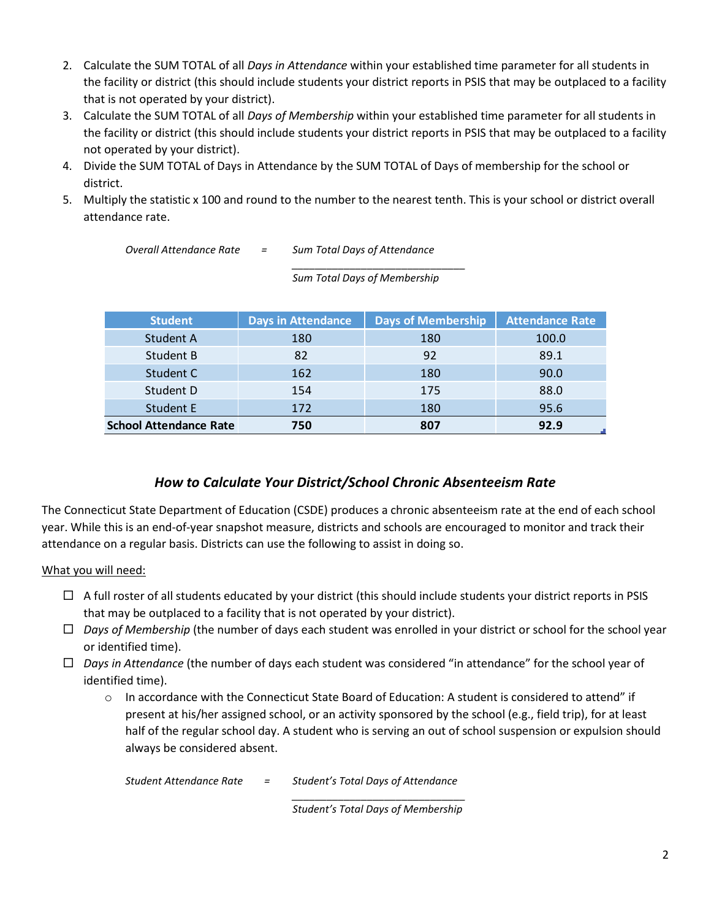- 2. Calculate the SUM TOTAL of all *Days in Attendance* within your established time parameter for all students in the facility or district (this should include students your district reports in PSIS that may be outplaced to a facility that is not operated by your district).
- 3. Calculate the SUM TOTAL of all *Days of Membership* within your established time parameter for all students in the facility or district (this should include students your district reports in PSIS that may be outplaced to a facility not operated by your district).
- 4. Divide the SUM TOTAL of Days in Attendance by the SUM TOTAL of Days of membership for the school or district.
- 5. Multiply the statistic x 100 and round to the number to the nearest tenth. This is your school or district overall attendance rate.

*Overall Attendance Rate = Sum Total Days of Attendance*

*\_\_\_\_\_\_\_\_\_\_\_\_\_\_\_\_\_\_\_\_\_\_\_\_\_\_\_\_\_\_ Sum Total Days of Membership*

| <b>Student</b>                | <b>Days in Attendance</b> | <b>Days of Membership</b> | <b>Attendance Rate</b> |
|-------------------------------|---------------------------|---------------------------|------------------------|
| Student A                     | 180                       | 180                       | 100.0                  |
| Student B                     | 82                        | 92                        | 89.1                   |
| Student C                     | 162                       | 180                       | 90.0                   |
| Student D                     | 154                       | 175                       | 88.0                   |
| Student E                     | 172                       | 180                       | 95.6                   |
| <b>School Attendance Rate</b> | 750                       | 807                       | 92.9                   |

## *How to Calculate Your District/School Chronic Absenteeism Rate*

The Connecticut State Department of Education (CSDE) produces a chronic absenteeism rate at the end of each school year. While this is an end-of-year snapshot measure, districts and schools are encouraged to monitor and track their attendance on a regular basis. Districts can use the following to assist in doing so.

## What you will need:

- $\Box$  A full roster of all students educated by your district (this should include students your district reports in PSIS that may be outplaced to a facility that is not operated by your district).
- *Days of Membership* (the number of days each student was enrolled in your district or school for the school year or identified time).
- *Days in Attendance* (the number of days each student was considered "in attendance" for the school year of identified time).
	- o In accordance with the Connecticut State Board of Education: A student is considered to attend" if present at his/her assigned school, or an activity sponsored by the school (e.g., field trip), for at least half of the regular school day. A student who is serving an out of school suspension or expulsion should always be considered absent.

*Student Attendance Rate = Student's Total Days of Attendance \_\_\_\_\_\_\_\_\_\_\_\_\_\_\_\_\_\_\_\_\_\_\_\_\_\_\_\_\_\_*

*Student's Total Days of Membership*